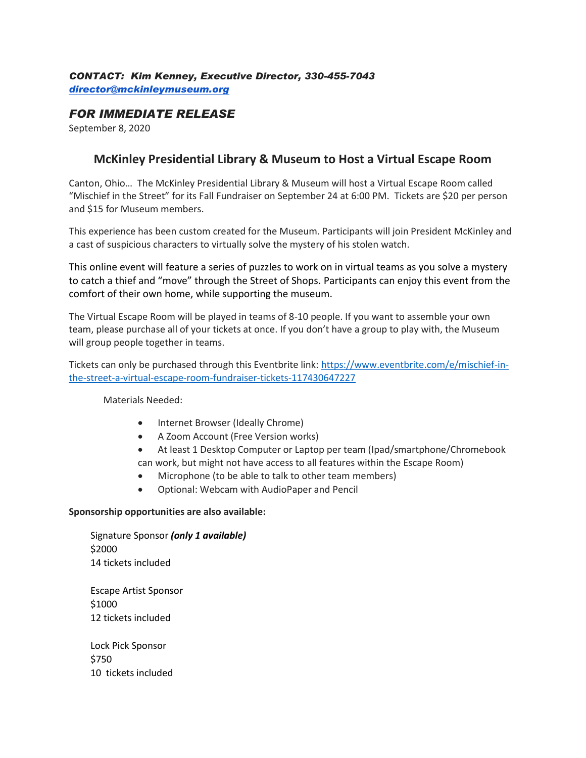### *CONTACT: Kim Kenney, Executive Director, 330-455-7043 [director@mckinleymuseum.org](mailto:director@mckinleymuseum.org)*

## *FOR IMMEDIATE RELEASE*

September 8, 2020

# **McKinley Presidential Library & Museum to Host a Virtual Escape Room**

Canton, Ohio… The McKinley Presidential Library & Museum will host a Virtual Escape Room called "Mischief in the Street" for its Fall Fundraiser on September 24 at 6:00 PM. Tickets are \$20 per person and \$15 for Museum members.

This experience has been custom created for the Museum. Participants will join President McKinley and a cast of suspicious characters to virtually solve the mystery of his stolen watch.

This online event will feature a series of puzzles to work on in virtual teams as you solve a mystery to catch a thief and "move" through the Street of Shops. Participants can enjoy this event from the comfort of their own home, while supporting the museum.

The Virtual Escape Room will be played in teams of 8-10 people. If you want to assemble your own team, please purchase all of your tickets at once. If you don't have a group to play with, the Museum will group people together in teams.

Tickets can only be purchased through this Eventbrite link: [https://www.eventbrite.com/e/mischief-in](https://www.eventbrite.com/e/mischief-in-the-street-a-virtual-escape-room-fundraiser-tickets-117430647227)[the-street-a-virtual-escape-room-fundraiser-tickets-117430647227](https://www.eventbrite.com/e/mischief-in-the-street-a-virtual-escape-room-fundraiser-tickets-117430647227)

Materials Needed:

- Internet Browser (Ideally Chrome)
- A Zoom Account (Free Version works)
- At least 1 Desktop Computer or Laptop per team (Ipad/smartphone/Chromebook can work, but might not have access to all features within the Escape Room)
- Microphone (to be able to talk to other team members)
- Optional: Webcam with AudioPaper and Pencil

#### **Sponsorship opportunities are also available:**

Signature Sponsor *(only 1 available)* \$2000 14 tickets included Escape Artist Sponsor

\$1000 12 tickets included

Lock Pick Sponsor \$750 10 tickets included